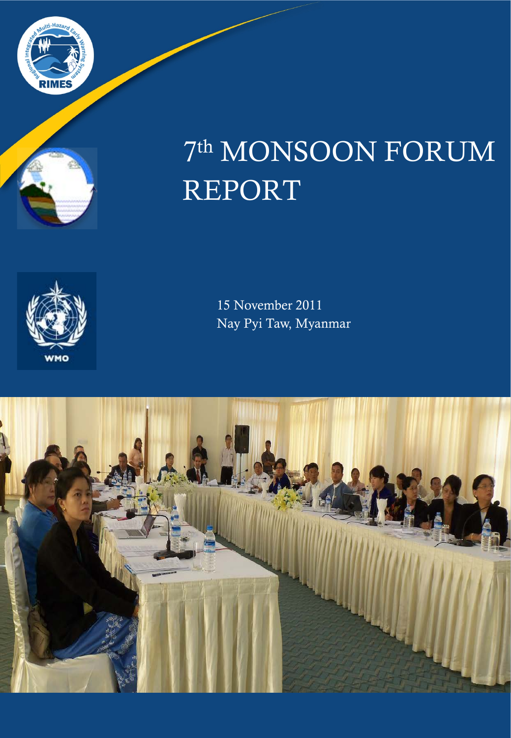



# 7th MONSOON FORUM REPORT



15 November 2011 Nay Pyi Taw, Myanmar

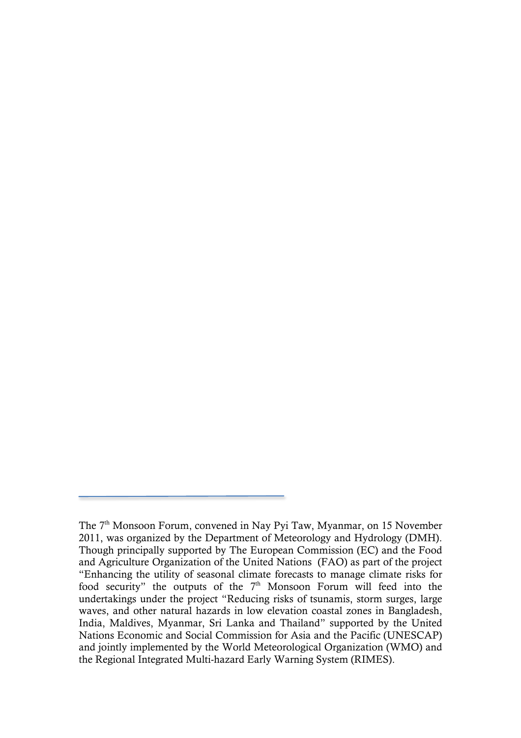The 7<sup>th</sup> Monsoon Forum, convened in Nay Pvi Taw, Myanmar, on 15 November 2011, was organized by the Department of Meteorology and Hydrology (DMH). Though principally supported by The European Commission (EC) and the Food and Agriculture Organization of the United Nations (FAO) as part of the project "Enhancing the utility of seasonal climate forecasts to manage climate risks for food security" the outputs of the  $7<sup>th</sup>$  Monsoon Forum will feed into the undertakings under the project "Reducing risks of tsunamis, storm surges, large waves, and other natural hazards in low elevation coastal zones in Bangladesh, India, Maldives, Myanmar, Sri Lanka and Thailand" supported by the United Nations Economic and Social Commission for Asia and the Pacific (UNESCAP) and jointly implemented by the World Meteorological Organization (WMO) and the Regional Integrated Multi-hazard Early Warning System (RIMES).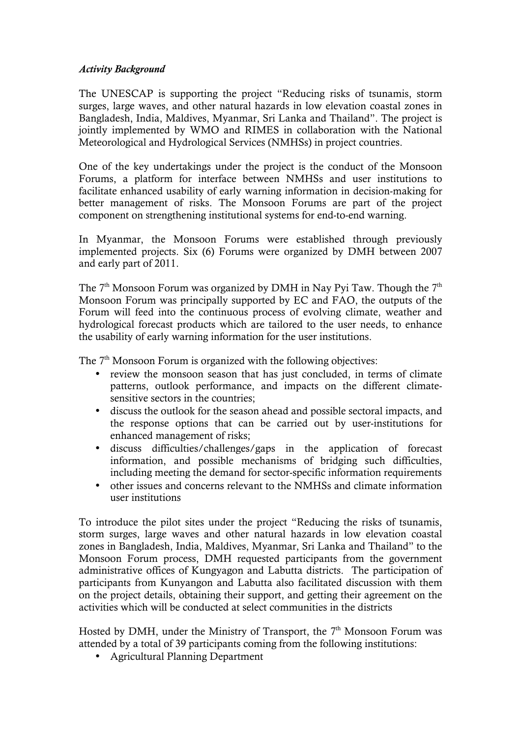#### *Activity Background*

The UNESCAP is supporting the project "Reducing risks of tsunamis, storm surges, large waves, and other natural hazards in low elevation coastal zones in Bangladesh, India, Maldives, Myanmar, Sri Lanka and Thailand". The project is jointly implemented by WMO and RIMES in collaboration with the National Meteorological and Hydrological Services (NMHSs) in project countries.

One of the key undertakings under the project is the conduct of the Monsoon Forums, a platform for interface between NMHSs and user institutions to facilitate enhanced usability of early warning information in decision-making for better management of risks. The Monsoon Forums are part of the project component on strengthening institutional systems for end-to-end warning.

In Myanmar, the Monsoon Forums were established through previously implemented projects. Six (6) Forums were organized by DMH between 2007 and early part of 2011.

The  $7<sup>th</sup>$  Monsoon Forum was organized by DMH in Nay Pyi Taw. Though the  $7<sup>th</sup>$ Monsoon Forum was principally supported by EC and FAO, the outputs of the Forum will feed into the continuous process of evolving climate, weather and hydrological forecast products which are tailored to the user needs, to enhance the usability of early warning information for the user institutions.

The 7<sup>th</sup> Monsoon Forum is organized with the following objectives:

- review the monsoon season that has just concluded, in terms of climate patterns, outlook performance, and impacts on the different climatesensitive sectors in the countries;
- discuss the outlook for the season ahead and possible sectoral impacts, and the response options that can be carried out by user-institutions for enhanced management of risks;
- discuss difficulties/challenges/gaps in the application of forecast information, and possible mechanisms of bridging such difficulties, including meeting the demand for sector-specific information requirements
- other issues and concerns relevant to the NMHSs and climate information user institutions

To introduce the pilot sites under the project "Reducing the risks of tsunamis, storm surges, large waves and other natural hazards in low elevation coastal zones in Bangladesh, India, Maldives, Myanmar, Sri Lanka and Thailand" to the Monsoon Forum process, DMH requested participants from the government administrative offices of Kungyagon and Labutta districts. The participation of participants from Kunyangon and Labutta also facilitated discussion with them on the project details, obtaining their support, and getting their agreement on the activities which will be conducted at select communities in the districts

Hosted by DMH, under the Ministry of Transport, the  $7<sup>th</sup>$  Monsoon Forum was attended by a total of 39 participants coming from the following institutions:

• Agricultural Planning Department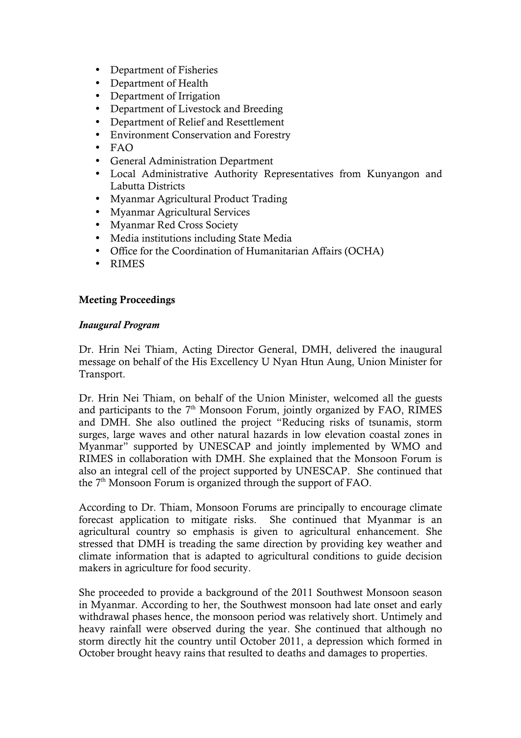- Department of Fisheries
- Department of Health<br>• Department of Irrigation
- Department of Irrigation
- Department of Livestock and Breeding
- Department of Relief and Resettlement
- Environment Conservation and Forestry
- FAO
- General Administration Department
- Local Administrative Authority Representatives from Kunyangon and Labutta Districts
- Myanmar Agricultural Product Trading
- Myanmar Agricultural Services
- Myanmar Red Cross Society
- Media institutions including State Media
- Office for the Coordination of Humanitarian Affairs (OCHA)
- RIMES

# Meeting Proceedings

## *Inaugural Program*

Dr. Hrin Nei Thiam, Acting Director General, DMH, delivered the inaugural message on behalf of the His Excellency U Nyan Htun Aung, Union Minister for Transport.

Dr. Hrin Nei Thiam, on behalf of the Union Minister, welcomed all the guests and participants to the  $7<sup>th</sup>$  Monsoon Forum, jointly organized by FAO, RIMES and DMH. She also outlined the project "Reducing risks of tsunamis, storm surges, large waves and other natural hazards in low elevation coastal zones in Myanmar" supported by UNESCAP and jointly implemented by WMO and RIMES in collaboration with DMH. She explained that the Monsoon Forum is also an integral cell of the project supported by UNESCAP. She continued that the  $7<sup>th</sup>$  Monsoon Forum is organized through the support of FAO.

According to Dr. Thiam, Monsoon Forums are principally to encourage climate forecast application to mitigate risks. She continued that Myanmar is an agricultural country so emphasis is given to agricultural enhancement. She stressed that DMH is treading the same direction by providing key weather and climate information that is adapted to agricultural conditions to guide decision makers in agriculture for food security.

She proceeded to provide a background of the 2011 Southwest Monsoon season in Myanmar. According to her, the Southwest monsoon had late onset and early withdrawal phases hence, the monsoon period was relatively short. Untimely and heavy rainfall were observed during the year. She continued that although no storm directly hit the country until October 2011, a depression which formed in October brought heavy rains that resulted to deaths and damages to properties.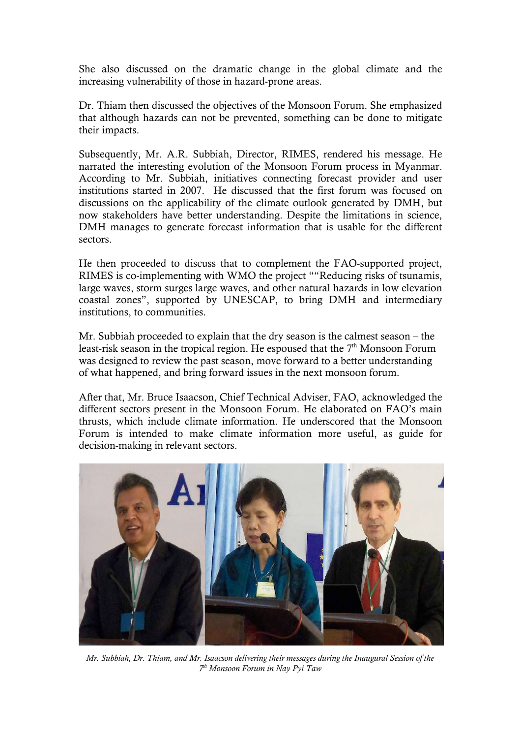She also discussed on the dramatic change in the global climate and the increasing vulnerability of those in hazard-prone areas.

Dr. Thiam then discussed the objectives of the Monsoon Forum. She emphasized that although hazards can not be prevented, something can be done to mitigate their impacts.

Subsequently, Mr. A.R. Subbiah, Director, RIMES, rendered his message. He narrated the interesting evolution of the Monsoon Forum process in Myanmar. According to Mr. Subbiah, initiatives connecting forecast provider and user institutions started in 2007. He discussed that the first forum was focused on discussions on the applicability of the climate outlook generated by DMH, but now stakeholders have better understanding. Despite the limitations in science, DMH manages to generate forecast information that is usable for the different sectors.

He then proceeded to discuss that to complement the FAO-supported project, RIMES is co-implementing with WMO the project ""Reducing risks of tsunamis, large waves, storm surges large waves, and other natural hazards in low elevation coastal zones", supported by UNESCAP, to bring DMH and intermediary institutions, to communities.

Mr. Subbiah proceeded to explain that the dry season is the calmest season – the least-risk season in the tropical region. He espoused that the  $7<sup>th</sup>$  Monsoon Forum was designed to review the past season, move forward to a better understanding of what happened, and bring forward issues in the next monsoon forum.

After that, Mr. Bruce Isaacson, Chief Technical Adviser, FAO, acknowledged the different sectors present in the Monsoon Forum. He elaborated on FAO's main thrusts, which include climate information. He underscored that the Monsoon Forum is intended to make climate information more useful, as guide for decision-making in relevant sectors.



*Mr. Subbiah, Dr. Thiam, and Mr. Isaacson delivering their messages during the Inaugural Session of the 7th Monsoon Forum in Nay Pyi Taw*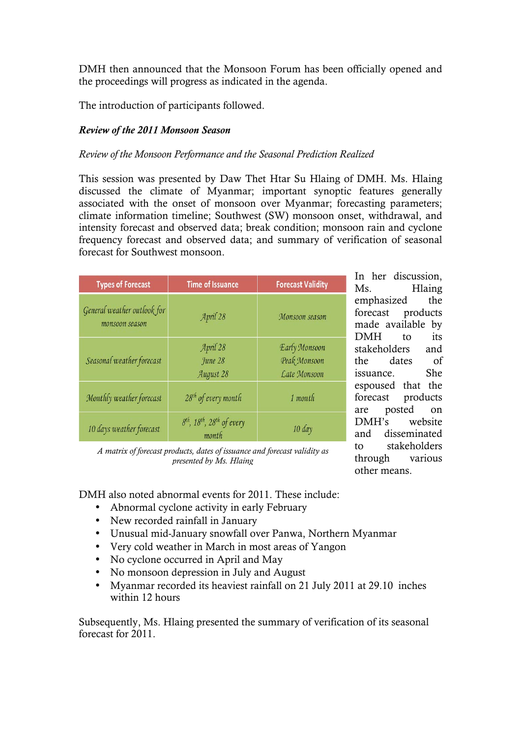DMH then announced that the Monsoon Forum has been officially opened and the proceedings will progress as indicated in the agenda.

The introduction of participants followed.

# *Review of the 2011 Monsoon Season*

#### *Review of the Monsoon Performance and the Seasonal Prediction Realized*

This session was presented by Daw Thet Htar Su Hlaing of DMH. Ms. Hlaing discussed the climate of Myanmar; important synoptic features generally associated with the onset of monsoon over Myanmar; forecasting parameters; climate information timeline; Southwest (SW) monsoon onset, withdrawal, and intensity forecast and observed data; break condition; monsoon rain and cyclone frequency forecast and observed data; and summary of verification of seasonal forecast for Southwest monsoon.

| <b>Types of Forecast</b>                      | <b>Time of Issuance</b>                                                 | <b>Forecast Validity</b>                      |
|-----------------------------------------------|-------------------------------------------------------------------------|-----------------------------------------------|
| General weather outlook for<br>monsoon season | April 28                                                                | Monsoon season                                |
| Seasonal weather forecast                     | April 28<br>June 28<br>August 28                                        | Early Monsoon<br>Peak Monsoon<br>Late Monsoon |
| Monthly weather forecast                      | 28 <sup>th</sup> of every month                                         | 1 month                                       |
| 10 days weather forecast                      | 8 <sup>th</sup> , 18 <sup>th</sup> , 28 <sup>th</sup> of every<br>month | 10 day                                        |

In her discussion, Ms. Hlaing emphasized the forecast products made available by DMH to its stakeholders and the dates of issuance. She espoused that the forecast products are posted on DMH's website and disseminated to stakeholders through various other means.

*A matrix of forecast products, dates of issuance and forecast validity as presented by Ms. Hlaing*

DMH also noted abnormal events for 2011. These include:

- Abnormal cyclone activity in early February
- New recorded rainfall in January
- Unusual mid-January snowfall over Panwa, Northern Myanmar
- Very cold weather in March in most areas of Yangon
- No cyclone occurred in April and May
- No monsoon depression in July and August
- Myanmar recorded its heaviest rainfall on 21 July 2011 at 29.10 inches within 12 hours

Subsequently, Ms. Hlaing presented the summary of verification of its seasonal forecast for 2011.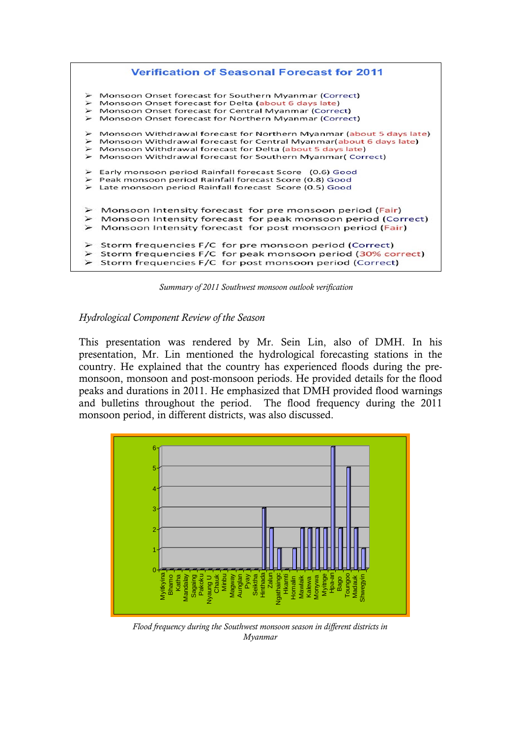

*Summary of 2011 Southwest monsoon outlook verification*

#### *Hydrological Component Review of the Season*

This presentation was rendered by Mr. Sein Lin, also of DMH. In his presentation, Mr. Lin mentioned the hydrological forecasting stations in the country. He explained that the country has experienced floods during the premonsoon, monsoon and post-monsoon periods. He provided details for the flood peaks and durations in 2011. He emphasized that DMH provided flood warnings and bulletins throughout the period. The flood frequency during the 2011 monsoon period, in different districts, was also discussed.



*Flood frequency during the Southwest monsoon season in different districts in Myanmar*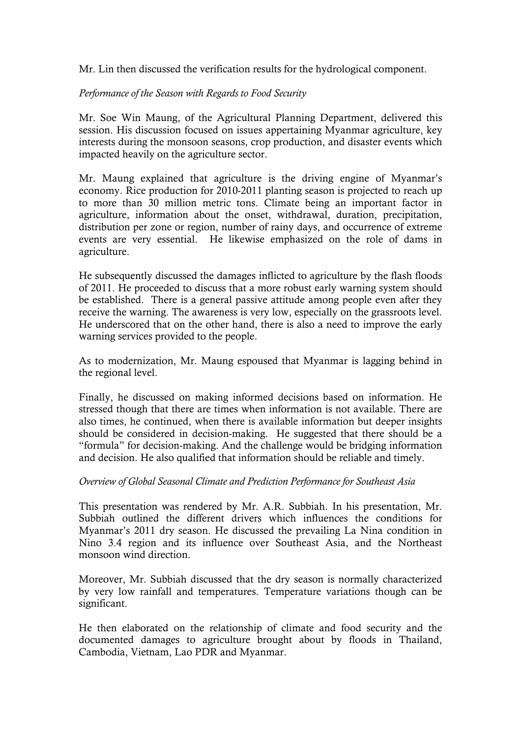Mr. Lin then discussed the verification results for the hydrological component.

## *Performance of the Season with Regards to Food Security*

Mr. Soe Win Maung, of the Agricultural Planning Department, delivered this session. His discussion focused on issues appertaining Myanmar agriculture, key interests during the monsoon seasons, crop production, and disaster events which impacted heavily on the agriculture sector.

Mr. Maung explained that agriculture is the driving engine of Myanmar's economy. Rice production for 2010-2011 planting season is projected to reach up to more than 30 million metric tons. Climate being an important factor in agriculture, information about the onset, withdrawal, duration, precipitation, distribution per zone or region, number of rainy days, and occurrence of extreme events are very essential. He likewise emphasized on the role of dams in agriculture.

He subsequently discussed the damages inflicted to agriculture by the flash floods of 2011. He proceeded to discuss that a more robust early warning system should be established. There is a general passive attitude among people even after they receive the warning. The awareness is very low, especially on the grassroots level. He underscored that on the other hand, there is also a need to improve the early warning services provided to the people.

As to modernization, Mr. Maung espoused that Myanmar is lagging behind in the regional level.

Finally, he discussed on making informed decisions based on information. He stressed though that there are times when information is not available. There are also times, he continued, when there is available information but deeper insights should be considered in decision-making. He suggested that there should be a "formula" for decision-making. And the challenge would be bridging information and decision. He also qualified that information should be reliable and timely.

#### *Overview of Global Seasonal Climate and Prediction Performance for Southeast Asia*

This presentation was rendered by Mr. A.R. Subbiah. In his presentation, Mr. Subbiah outlined the different drivers which influences the conditions for Myanmar's 2011 dry season. He discussed the prevailing La Nina condition in Nino 3.4 region and its influence over Southeast Asia, and the Northeast monsoon wind direction.

Moreover, Mr. Subbiah discussed that the dry season is normally characterized by very low rainfall and temperatures. Temperature variations though can be significant.

He then elaborated on the relationship of climate and food security and the documented damages to agriculture brought about by floods in Thailand, Cambodia, Vietnam, Lao PDR and Myanmar.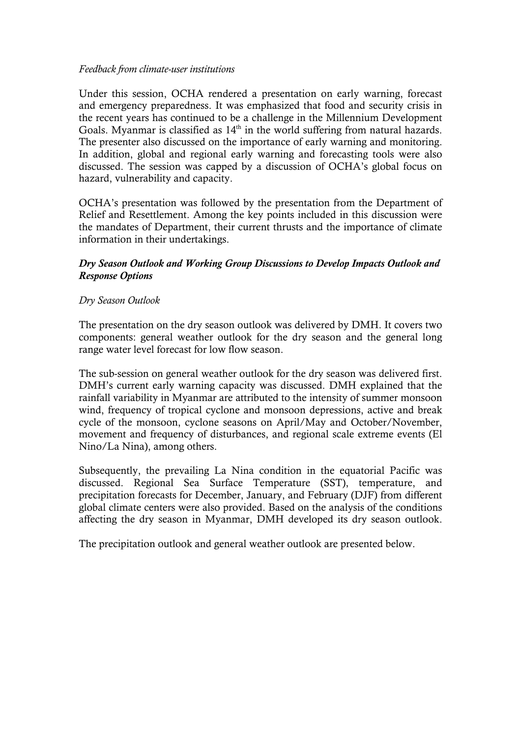#### *Feedback from climate-user institutions*

Under this session, OCHA rendered a presentation on early warning, forecast and emergency preparedness. It was emphasized that food and security crisis in the recent years has continued to be a challenge in the Millennium Development Goals. Myanmar is classified as  $14<sup>th</sup>$  in the world suffering from natural hazards. The presenter also discussed on the importance of early warning and monitoring. In addition, global and regional early warning and forecasting tools were also discussed. The session was capped by a discussion of OCHA's global focus on hazard, vulnerability and capacity.

OCHA's presentation was followed by the presentation from the Department of Relief and Resettlement. Among the key points included in this discussion were the mandates of Department, their current thrusts and the importance of climate information in their undertakings.

# *Dry Season Outlook and Working Group Discussions to Develop Impacts Outlook and Response Options*

## *Dry Season Outlook*

The presentation on the dry season outlook was delivered by DMH. It covers two components: general weather outlook for the dry season and the general long range water level forecast for low flow season.

The sub-session on general weather outlook for the dry season was delivered first. DMH's current early warning capacity was discussed. DMH explained that the rainfall variability in Myanmar are attributed to the intensity of summer monsoon wind, frequency of tropical cyclone and monsoon depressions, active and break cycle of the monsoon, cyclone seasons on April/May and October/November, movement and frequency of disturbances, and regional scale extreme events (El Nino/La Nina), among others.

Subsequently, the prevailing La Nina condition in the equatorial Pacific was discussed. Regional Sea Surface Temperature (SST), temperature, and precipitation forecasts for December, January, and February (DJF) from different global climate centers were also provided. Based on the analysis of the conditions affecting the dry season in Myanmar, DMH developed its dry season outlook.

The precipitation outlook and general weather outlook are presented below.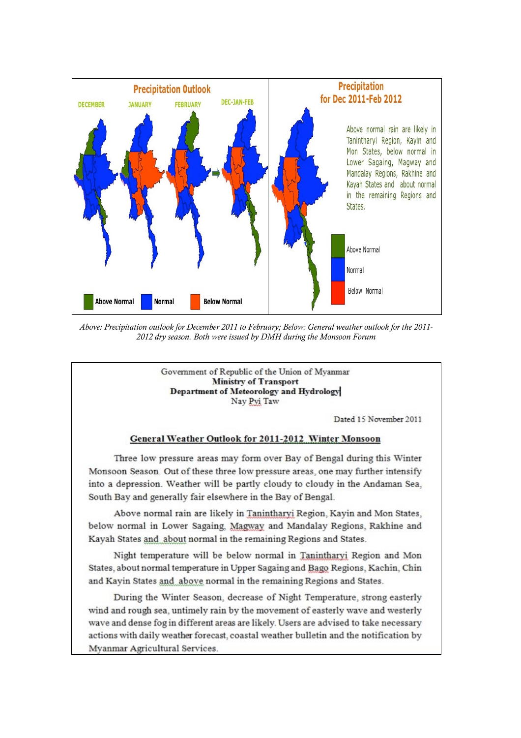

*Above: Precipitation outlook for December 2011 to February; Below: General weather outlook for the 2011- 2012 dry season. Both were issued by DMH during the Monsoon Forum*

Government of Republic of the Union of Myanmar **Ministry of Transport** Department of Meteorology and Hydrology Nav Pvi Taw

Dated 15 November 2011

#### **General Weather Outlook for 2011-2012 Winter Monsoon**

Three low pressure areas may form over Bay of Bengal during this Winter Monsoon Season. Out of these three low pressure areas, one may further intensify into a depression. Weather will be partly cloudy to cloudy in the Andaman Sea, South Bay and generally fair elsewhere in the Bay of Bengal.

Above normal rain are likely in Tanintharyi Region, Kayin and Mon States, below normal in Lower Sagaing, Magway and Mandalay Regions, Rakhine and Kayah States and about normal in the remaining Regions and States.

Night temperature will be below normal in Tanintharyi Region and Mon States, about normal temperature in Upper Sagaing and Bago Regions, Kachin, Chin and Kayin States and above normal in the remaining Regions and States.

During the Winter Season, decrease of Night Temperature, strong easterly wind and rough sea, untimely rain by the movement of easterly wave and westerly wave and dense fog in different areas are likely. Users are advised to take necessary actions with daily weather forecast, coastal weather bulletin and the notification by Myanmar Agricultural Services.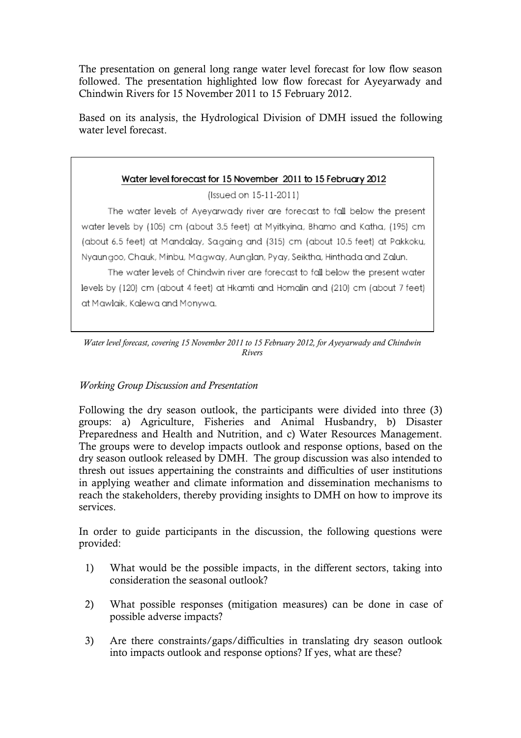The presentation on general long range water level forecast for low flow season followed. The presentation highlighted low flow forecast for Ayeyarwady and Chindwin Rivers for 15 November 2011 to 15 February 2012.

Based on its analysis, the Hydrological Division of DMH issued the following water level forecast.

# Water level forecast for 15 November 2011 to 15 February 2012

(Issued on 15-11-2011)

The water levels of Ayeyarwady river are forecast to fall below the present water levels by (105) cm (about 3.5 feet) at Myitkyina, Bhamo and Katha, (195) cm (about 6.5 feet) at Mandalay, Sagaing and (315) cm (about 10.5 feet) at Pakkoku, Nyaungoo, Chauk, Minbu, Magway, Aunglan, Pyay, Seiktha, Hinthada and Zalun.

The water levels of Chindwin river are forecast to fall below the present water levels by (120) cm (about 4 feet) at Hkamti and Homalin and (210) cm (about 7 feet) at Mawlaik, Kalewa and Monywa.

*Water level forecast, covering 15 November 2011 to 15 February 2012, for Ayeyarwady and Chindwin Rivers*

# *Working Group Discussion and Presentation*

Following the dry season outlook, the participants were divided into three (3) groups: a) Agriculture, Fisheries and Animal Husbandry, b) Disaster Preparedness and Health and Nutrition, and c) Water Resources Management. The groups were to develop impacts outlook and response options, based on the dry season outlook released by DMH. The group discussion was also intended to thresh out issues appertaining the constraints and difficulties of user institutions in applying weather and climate information and dissemination mechanisms to reach the stakeholders, thereby providing insights to DMH on how to improve its services.

In order to guide participants in the discussion, the following questions were provided:

- 1) What would be the possible impacts, in the different sectors, taking into consideration the seasonal outlook?
- 2) What possible responses (mitigation measures) can be done in case of possible adverse impacts?
- 3) Are there constraints/gaps/difficulties in translating dry season outlook into impacts outlook and response options? If yes, what are these?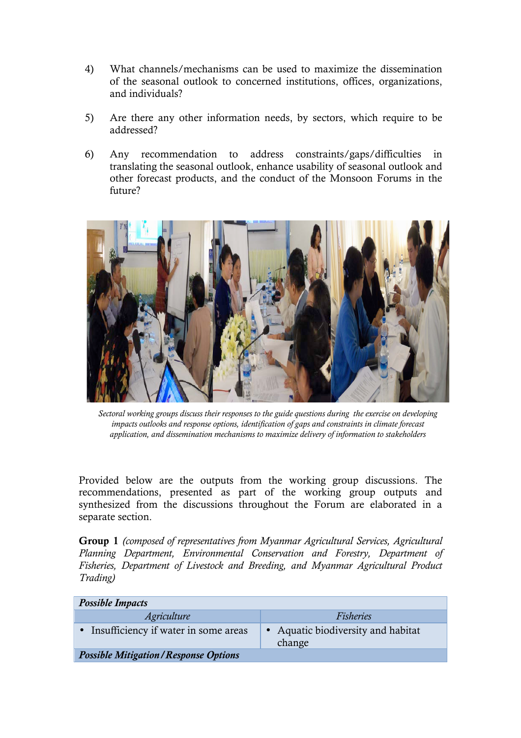- 4) What channels/mechanisms can be used to maximize the dissemination of the seasonal outlook to concerned institutions, offices, organizations, and individuals?
- 5) Are there any other information needs, by sectors, which require to be addressed?
- 6) Any recommendation to address constraints/gaps/difficulties in translating the seasonal outlook, enhance usability of seasonal outlook and other forecast products, and the conduct of the Monsoon Forums in the future?



*Sectoral working groups discuss their responses to the guide questions during the exercise on developing impacts outlooks and response options, identification of gaps and constraints in climate forecast application, and dissemination mechanisms to maximize delivery of information to stakeholders*

Provided below are the outputs from the working group discussions. The recommendations, presented as part of the working group outputs and synthesized from the discussions throughout the Forum are elaborated in a separate section.

Group 1 *(composed of representatives from Myanmar Agricultural Services, Agricultural Planning Department, Environmental Conservation and Forestry, Department of Fisheries, Department of Livestock and Breeding, and Myanmar Agricultural Product Trading)*

| <b>Possible Impacts</b>                     |                                              |  |  |
|---------------------------------------------|----------------------------------------------|--|--|
| <i>Agriculture</i>                          | Fisheries                                    |  |  |
| • Insufficiency if water in some areas      | • Aquatic biodiversity and habitat<br>change |  |  |
| <b>Possible Mitigation/Response Options</b> |                                              |  |  |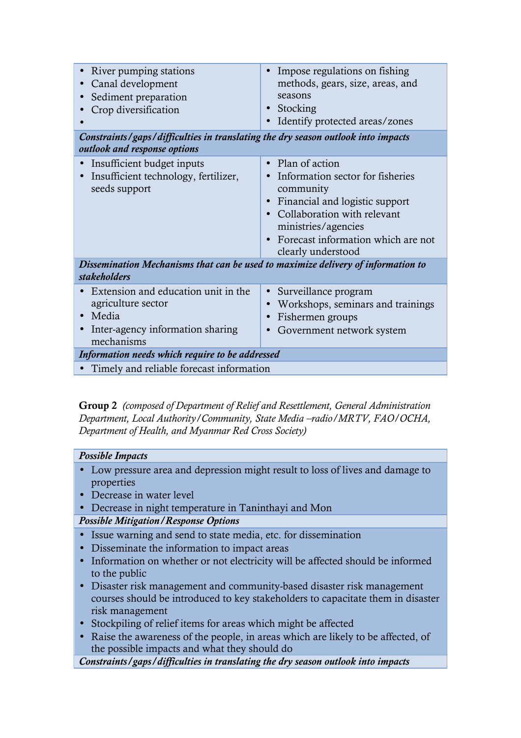| River pumping stations<br>$\bullet$<br>Canal development<br>$\bullet$<br>Sediment preparation<br>$\bullet$<br>Crop diversification<br>Constraints/gaps/difficulties in translating the dry season outlook into impacts<br>outlook and response options | Impose regulations on fishing<br>methods, gears, size, areas, and<br>seasons<br>Stocking<br>$\bullet$<br>Identify protected areas/zones                                                                                          |  |
|--------------------------------------------------------------------------------------------------------------------------------------------------------------------------------------------------------------------------------------------------------|----------------------------------------------------------------------------------------------------------------------------------------------------------------------------------------------------------------------------------|--|
| Insufficient budget inputs<br>Insufficient technology, fertilizer,<br>$\bullet$<br>seeds support                                                                                                                                                       | Plan of action<br>$\bullet$<br>Information sector for fisheries<br>community<br>Financial and logistic support<br>Collaboration with relevant<br>ministries/agencies<br>Forecast information which are not<br>clearly understood |  |
| Dissemination Mechanisms that can be used to maximize delivery of information to<br><b>stakeholders</b>                                                                                                                                                |                                                                                                                                                                                                                                  |  |
| Extension and education unit in the<br>$\bullet$<br>agriculture sector<br>Media<br>$\bullet$<br>Inter-agency information sharing<br>$\bullet$<br>mechanisms                                                                                            | Surveillance program<br>$\bullet$<br>Workshops, seminars and trainings<br>Fishermen groups<br>Government network system                                                                                                          |  |
| Information needs which require to be addressed                                                                                                                                                                                                        |                                                                                                                                                                                                                                  |  |
| Timely and reliable forecast information<br>$\bullet$                                                                                                                                                                                                  |                                                                                                                                                                                                                                  |  |

Group 2 *(composed of Department of Relief and Resettlement, General Administration Department, Local Authority/Community, State Media –radio/MRTV, FAO/OCHA, Department of Health, and Myanmar Red Cross Society)* 

# *Possible Impacts*

- Low pressure area and depression might result to loss of lives and damage to properties
- Decrease in water level
- Decrease in night temperature in Taninthayi and Mon

# *Possible Mitigation/Response Options*

- Issue warning and send to state media, etc. for dissemination
- Disseminate the information to impact areas
- Information on whether or not electricity will be affected should be informed to the public
- Disaster risk management and community-based disaster risk management courses should be introduced to key stakeholders to capacitate them in disaster risk management
- Stockpiling of relief items for areas which might be affected
- Raise the awareness of the people, in areas which are likely to be affected, of the possible impacts and what they should do

*Constraints/gaps/difficulties in translating the dry season outlook into impacts*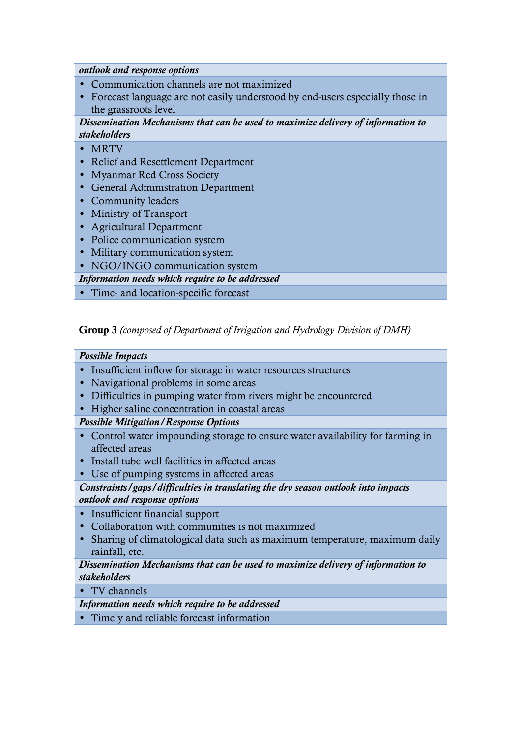*outlook and response options*

- Communication channels are not maximized
- Forecast language are not easily understood by end-users especially those in the grassroots level

*Dissemination Mechanisms that can be used to maximize delivery of information to stakeholders* 

- MRTV
- Relief and Resettlement Department
- Myanmar Red Cross Society
- General Administration Department
- Community leaders
- Ministry of Transport
- Agricultural Department
- Police communication system
- Military communication system
- NGO/INGO communication system

*Information needs which require to be addressed*

• Time- and location-specific forecast

Group 3 *(composed of Department of Irrigation and Hydrology Division of DMH)*

#### *Possible Impacts*

- Insufficient inflow for storage in water resources structures
- Navigational problems in some areas
- Difficulties in pumping water from rivers might be encountered
- Higher saline concentration in coastal areas

*Possible Mitigation/Response Options* 

- Control water impounding storage to ensure water availability for farming in affected areas
- Install tube well facilities in affected areas
- Use of pumping systems in affected areas

*Constraints/gaps/difficulties in translating the dry season outlook into impacts outlook and response options*

- Insufficient financial support
- Collaboration with communities is not maximized
- Sharing of climatological data such as maximum temperature, maximum daily rainfall, etc.

## *Dissemination Mechanisms that can be used to maximize delivery of information to stakeholders*

• TV channels

*Information needs which require to be addressed*

• Timely and reliable forecast information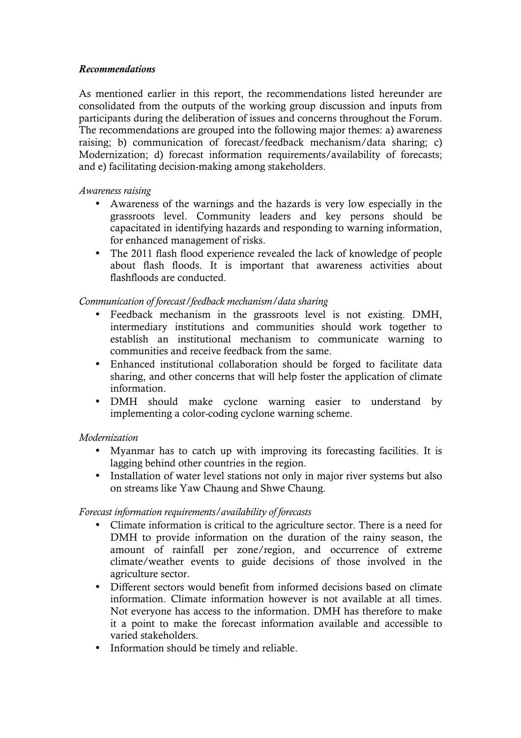## *Recommendations*

As mentioned earlier in this report, the recommendations listed hereunder are consolidated from the outputs of the working group discussion and inputs from participants during the deliberation of issues and concerns throughout the Forum. The recommendations are grouped into the following major themes: a) awareness raising; b) communication of forecast/feedback mechanism/data sharing; c) Modernization; d) forecast information requirements/availability of forecasts; and e) facilitating decision-making among stakeholders.

## *Awareness raising*

- Awareness of the warnings and the hazards is very low especially in the grassroots level. Community leaders and key persons should be capacitated in identifying hazards and responding to warning information, for enhanced management of risks.
- The 2011 flash flood experience revealed the lack of knowledge of people about flash floods. It is important that awareness activities about flashfloods are conducted.

# *Communication of forecast/feedback mechanism/data sharing*

- Feedback mechanism in the grassroots level is not existing. DMH, intermediary institutions and communities should work together to establish an institutional mechanism to communicate warning to communities and receive feedback from the same.
- Enhanced institutional collaboration should be forged to facilitate data sharing, and other concerns that will help foster the application of climate information.
- DMH should make cyclone warning easier to understand by implementing a color-coding cyclone warning scheme.

# *Modernization*

- Myanmar has to catch up with improving its forecasting facilities. It is lagging behind other countries in the region.
- Installation of water level stations not only in major river systems but also on streams like Yaw Chaung and Shwe Chaung.

# *Forecast information requirements/availability of forecasts*

- Climate information is critical to the agriculture sector. There is a need for DMH to provide information on the duration of the rainy season, the amount of rainfall per zone/region, and occurrence of extreme climate/weather events to guide decisions of those involved in the agriculture sector.
- Different sectors would benefit from informed decisions based on climate information. Climate information however is not available at all times. Not everyone has access to the information. DMH has therefore to make it a point to make the forecast information available and accessible to varied stakeholders.
- Information should be timely and reliable.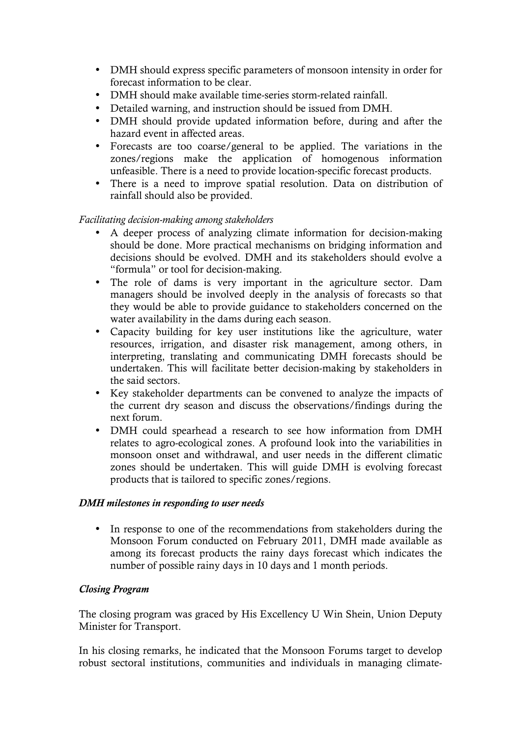- DMH should express specific parameters of monsoon intensity in order for forecast information to be clear.
- DMH should make available time-series storm-related rainfall.
- Detailed warning, and instruction should be issued from DMH.
- DMH should provide updated information before, during and after the hazard event in affected areas.
- Forecasts are too coarse/general to be applied. The variations in the zones/regions make the application of homogenous information unfeasible. There is a need to provide location-specific forecast products.
- There is a need to improve spatial resolution. Data on distribution of rainfall should also be provided.

## *Facilitating decision-making among stakeholders*

- A deeper process of analyzing climate information for decision-making should be done. More practical mechanisms on bridging information and decisions should be evolved. DMH and its stakeholders should evolve a "formula" or tool for decision-making.
- The role of dams is very important in the agriculture sector. Dam managers should be involved deeply in the analysis of forecasts so that they would be able to provide guidance to stakeholders concerned on the water availability in the dams during each season.
- Capacity building for key user institutions like the agriculture, water resources, irrigation, and disaster risk management, among others, in interpreting, translating and communicating DMH forecasts should be undertaken. This will facilitate better decision-making by stakeholders in the said sectors.
- Key stakeholder departments can be convened to analyze the impacts of the current dry season and discuss the observations/findings during the next forum.
- DMH could spearhead a research to see how information from DMH relates to agro-ecological zones. A profound look into the variabilities in monsoon onset and withdrawal, and user needs in the different climatic zones should be undertaken. This will guide DMH is evolving forecast products that is tailored to specific zones/regions.

#### *DMH milestones in responding to user needs*

In response to one of the recommendations from stakeholders during the Monsoon Forum conducted on February 2011, DMH made available as among its forecast products the rainy days forecast which indicates the number of possible rainy days in 10 days and 1 month periods.

# *Closing Program*

The closing program was graced by His Excellency U Win Shein, Union Deputy Minister for Transport.

In his closing remarks, he indicated that the Monsoon Forums target to develop robust sectoral institutions, communities and individuals in managing climate